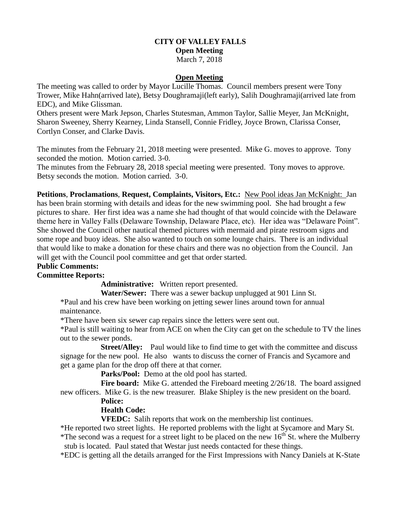# **CITY OF VALLEY FALLS Open Meeting** March 7, 2018

#### **Open Meeting**

The meeting was called to order by Mayor Lucille Thomas. Council members present were Tony Trower, Mike Hahn(arrived late), Betsy Doughramaji(left early), Salih Doughramaji(arrived late from EDC), and Mike Glissman.

Others present were Mark Jepson, Charles Stutesman, Ammon Taylor, Sallie Meyer, Jan McKnight, Sharon Sweeney, Sherry Kearney, Linda Stansell, Connie Fridley, Joyce Brown, Clarissa Conser, Cortlyn Conser, and Clarke Davis.

The minutes from the February 21, 2018 meeting were presented. Mike G. moves to approve. Tony seconded the motion. Motion carried. 3-0.

The minutes from the February 28, 2018 special meeting were presented. Tony moves to approve. Betsy seconds the motion. Motion carried. 3-0.

**Petitions**, **Proclamations**, **Request, Complaints, Visitors, Etc.:** New Pool ideas Jan McKnight: Jan has been brain storming with details and ideas for the new swimming pool. She had brought a few pictures to share. Her first idea was a name she had thought of that would coincide with the Delaware theme here in Valley Falls (Delaware Township, Delaware Place, etc). Her idea was "Delaware Point". She showed the Council other nautical themed pictures with mermaid and pirate restroom signs and some rope and buoy ideas. She also wanted to touch on some lounge chairs. There is an individual that would like to make a donation for these chairs and there was no objection from the Council. Jan will get with the Council pool committee and get that order started.

# **Public Comments:**

# **Committee Reports:**

**Administrative:** Written report presented.

**Water/Sewer:** There was a sewer backup unplugged at 901 Linn St.

\*Paul and his crew have been working on jetting sewer lines around town for annual maintenance.

\*There have been six sewer cap repairs since the letters were sent out.

\*Paul is still waiting to hear from ACE on when the City can get on the schedule to TV the lines out to the sewer ponds.

 **Street/Alley:** Paul would like to find time to get with the committee and discuss signage for the new pool. He also wants to discuss the corner of Francis and Sycamore and get a game plan for the drop off there at that corner.

**Parks/Pool:** Demo at the old pool has started.

Fire board: Mike G. attended the Fireboard meeting  $2/26/18$ . The board assigned new officers. Mike G. is the new treasurer. Blake Shipley is the new president on the board.

#### **Police:**

# **Health Code:**

**VFEDC:** Salih reports that work on the membership list continues.

 \*He reported two street lights. He reported problems with the light at Sycamore and Mary St. \*The second was a request for a street light to be placed on the new  $16<sup>th</sup>$  St. where the Mulberry

stub is located. Paul stated that Westar just needs contacted for these things.

\*EDC is getting all the details arranged for the First Impressions with Nancy Daniels at K-State